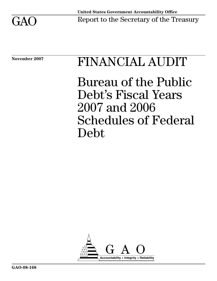

# November 2007 FINANCIAL AUDIT

Bureau of the Public Debt's Fiscal Years 2007 and 2006 Schedules of Federal Debt

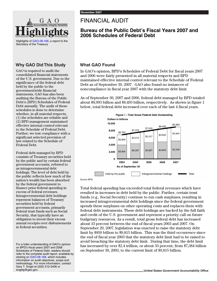

Highlights of [GAO-08-168,](http://www.gao.gov/cgi-bin/getrpt?GAO-08-168) a report to the Secretary of the Treasury

#### **Why GAO Did This Study**

GAO is required to audit the consolidated financial statements of the U.S. government. Due to the significance of the federal debt held by the public to the governmentwide financial statements, GAO has also been auditing the Bureau of the Public Debt's (BPD) Schedules of Federal Debt annually. The audit of these schedules is done to determine whether, in all material respects, (1) the schedules are reliable and (2) BPD management maintained effective internal control relevant to the Schedule of Federal Debt. Further, we test compliance with a significant selected provision of law related to the Schedule of Federal Debt.

Federal debt managed by BPD consists of Treasury securities held by the public and by certain federal government accounts, referred to as intragovernmental debt holdings. The level of debt held by the public reflects how much of the nation's wealth has been absorbed by the federal government to finance prior federal spending in excess of federal revenues. Intragovernmental debt holdings represent balances of Treasury securities held by federal government accounts, primarily federal trust funds such as Social Security, that typically have an obligation to invest their excess annual receipts over disbursements in federal securities.

For a fuller understanding of GAO's opinion on BPD's fiscal years 2007 and 2006 Schedules of Federal Debt, readers should refer to the complete audit report, available by clicking on [GAO-08-168,](http://www.gao.gov/cgi-bin/getrpt?GAO-08-168) which includes information on audit objectives, scope and methodology. For more information, contact Gary T. Engel at (202) 512-3406 or engelg@gao.gov.

### FINANCIAL AUDIT

#### **Bureau of the Public Debt's Fiscal Years 2007 and 2006 Schedules of Federal Debt**

#### **What GAO Found**

In GAO's opinion, BPD's Schedules of Federal Debt for fiscal years 2007 and 2006 were fairly presented in all material respects and BPD maintained effective internal control relevant to the Schedule of Federal Debt as of September 30, 2007. GAO also found no instances of noncompliance in fiscal year 2007 with the statutory debt limit.

As of September 30, 2007 and 2006, federal debt managed by BPD totaled about \$8,993 billion and \$8,493 billion, respectively. As shown in figure 1 below, total federal debt increased over each of the last 4 fiscal years.



Source: BPD.

Total federal spending has exceeded total federal revenues which have resulted in increases in debt held by the public. Further, certain trust funds (e.g., Social Security) continue to run cash surpluses, resulting in increased intragovernmental debt holdings since the federal government spends these surpluses on other operating costs and replaces them with federal debt instruments. These debt holdings are backed by the full faith and credit of the U.S. government and represent a priority call on future budgetary resources. As a result, total gross federal debt has increased about 33 percent between the end of fiscal years 2003 and 2007. On September 29, 2007, legislation was enacted to raise the statutory debt limit by \$850 billion to \$9,815 billion. This was the third occurrence since the end of fiscal year 2003 that the statutory debt limit had to be raised to avoid breaching the statutory debt limit. During that time, the debt limit has increased by over \$2.4 trillion, or about 33 percent, from \$7,384 billion on September 30, 2003, to the current limit of \$9,815 billion.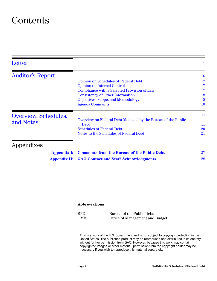### **Contents**

| Letter                  |                                                              |                  |
|-------------------------|--------------------------------------------------------------|------------------|
| <b>Auditor's Report</b> |                                                              | $\boldsymbol{6}$ |
|                         | <b>Opinion on Schedules of Federal Debt</b>                  |                  |
|                         | <b>Opinion on Internal Control</b>                           |                  |
|                         | Compliance with a Selected Provision of Law                  |                  |
|                         | <b>Consistency of Other Information</b>                      | 8                |
|                         | Objectives, Scope, and Methodology                           | 8                |
|                         | <b>Agency Comments</b>                                       | <b>10</b>        |
| Overview, Schedules,    |                                                              | 11               |
| and Notes               | Overview on Federal Debt Managed by the Bureau of the Public |                  |
|                         | <b>Debt</b>                                                  | 11               |
|                         | <b>Schedules of Federal Debt</b>                             | 20               |
|                         | Notes to the Schedules of Federal Debt                       | 21               |
| Appendixes              |                                                              |                  |
| <b>Appendix I:</b>      | <b>Comments from the Bureau of the Public Debt</b>           | 27               |
| <b>Appendix II:</b>     | <b>GAO Contact and Staff Acknowledgments</b>                 | 28               |

#### **Abbreviations**

| BPD | Bureau of the Public Debt       |
|-----|---------------------------------|
| OMB | Office of Management and Budget |

This is a work of the U.S. government and is not subject to copyright protection in the United States. The published product may be reproduced and distributed in its entirety without further permission from GAO. However, because this work may contain copyrighted images or other material, permission from the copyright holder may be necessary if you wish to reproduce this material separately.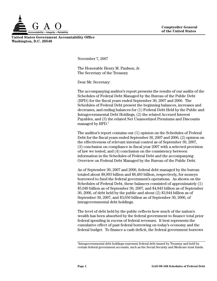

**United States Government Accountability Office Washington, D.C. 20548**

<span id="page-3-0"></span>November 7, 2007

The Honorable Henry M. Paulson, Jr. The Secretary of the Treasury

Dear Mr. Secretary:

The accompanying auditor's report presents the results of our audits of the Schedules of Federal Debt Managed by the Bureau of the Public Debt (BPD) for the fiscal years ended September 30, 2007 and 2006. The Schedules of Federal Debt present the beginning balances, increases and decreases, and ending balances for (1) Federal Debt Held by the Public and Intragovernmental Debt Holdings, (2) the related Accrued Interest Payables, and (3) the related Net Unamortized Premiums and Discounts managed by  $\rm BPD.^1$ 

The auditor's report contains our (1) opinion on the Schedules of Federal Debt for the fiscal years ended September 30, 2007 and 2006, (2) opinion on the effectiveness of relevant internal control as of September 30, 2007, (3) conclusion on compliance in fiscal year 2007 with a selected provision of law we tested, and (4) conclusion on the consistency between information in the Schedules of Federal Debt and the accompanying Overview on Federal Debt Managed by the Bureau of the Public Debt.

As of September 30, 2007 and 2006, federal debt managed by the bureau totaled about \$8,993 billion and \$8,493 billion, respectively, for moneys borrowed to fund the federal government's operations. As shown on the Schedules of Federal Debt, these balances consisted of approximately (1) \$5,049 billion as of September 30, 2007, and \$4,843 billion as of September 30, 2006, of debt held by the public and about (2) \$3,944 billion as of September 30, 2007, and \$3,650 billion as of September 30, 2006, of intragovernmental debt holdings.

The level of debt held by the public reflects how much of the nation's wealth has been absorbed by the federal government to finance total prior federal spending in excess of federal revenues. It best represents the cumulative effect of past federal borrowing on today's economy and the federal budget. To finance a cash deficit, the federal government borrows

<sup>1</sup> Intragovernmental debt holdings represent federal debt issued by Treasury and held by certain federal government accounts, such as the Social Security and Medicare trust funds.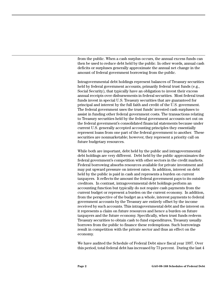from the public. When a cash surplus occurs, the annual excess funds can then be used to reduce debt held by the public. In other words, annual cash deficits or surpluses generally approximate the annual net change in the amount of federal government borrowing from the public.

Intragovernmental debt holdings represent balances of Treasury securities held by federal government accounts, primarily federal trust funds (e.g., Social Security), that typically have an obligation to invest their excess annual receipts over disbursements in federal securities. Most federal trust funds invest in special U.S. Treasury securities that are guaranteed for principal and interest by the full faith and credit of the U.S. government. The federal government uses the trust funds' invested cash surpluses to assist in funding other federal government costs. The transactions relating to Treasury securities held by the federal government accounts net out on the federal government's consolidated financial statements because under current U.S. generally accepted accounting principles they essentially represent loans from one part of the federal government to another. These securities are nonmarketable; however, they represent a priority call on future budgetary resources.

While both are important, debt held by the public and intragovernmental debt holdings are very different. Debt held by the public approximates the federal government's competition with other sectors in the credit markets. Federal borrowing absorbs resources available for private investment and may put upward pressure on interest rates. In addition, interest on debt held by the public is paid in cash and represents a burden on current taxpayers. It reflects the amount the federal government pays to its outside creditors. In contrast, intragovernmental debt holdings perform an accounting function but typically do not require cash payments from the current budget or represent a burden on the current economy. In addition, from the perspective of the budget as a whole, interest payments to federal government accounts by the Treasury are entirely offset by the income received by such accounts. This intragovernmental debt and the interest on it represents a claim on future resources and hence a burden on future taxpayers and the future economy. Specifically, when trust funds redeem Treasury securities to obtain cash to fund expenditures, Treasury usually borrows from the public to finance these redemptions. Such borrowings result in competition with the private sector and thus an effect on the economy.

We have audited the Schedule of Federal Debt since fiscal year 1997. Over this period, total federal debt has increased by 73 percent. During the last 4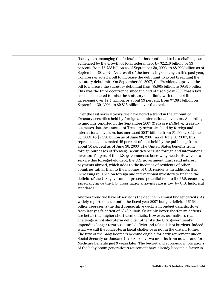fiscal years, managing the federal debt has continued to be a challenge as evidenced by the growth of total federal debt by \$2,210 billion, or 33 percent, from \$6,783 billion as of September 30, 2003, to \$8,993 billion as of September 30, 2007. As a result of the increasing debt, again this past year, Congress enacted a bill to increase the debt limit to avoid breaching the statutory debt limit. On September 29, 2007, the President approved the bill to increase the statutory debt limit from \$8,965 billion to \$9,815 billion. This was the third occurrence since the end of fiscal year 2003 that a law has been enacted to raise the statutory debt limit, with the debt limit increasing over \$2.4 trillion, or about 33 percent, from \$7,384 billion on September 30, 2003, to \$9,815 billion, over that period.

Over the last several years, we have noted a trend in the amount of Treasury securities held by foreign and international investors. According to amounts reported in the September 2007 *Treasury Bulletin*, Treasury estimates that the amount of Treasury securities held by foreign and international investors has increased \$837 billion, from \$1,383 as of June 30, 2003, to \$2,220 billion as of June 30, 2007. As of June 30, 2007, this represents an estimated 45 percent of debt held by the public, up from about 36 percent as of June 30, 2003. The United States benefits from foreign purchases of Treasury securities because foreign and international investors fill part of the U.S. government's borrowing needs. However, to service this foreign-held debt, the U.S. government must send interest payments abroad, which adds to the incomes of residents of other countries rather than to the incomes of U.S. residents. In addition, this increasing reliance on foreign and international investors to finance the deficits of the U.S. government presents potential risk to the U.S. economy, especially since the U.S. gross national saving rate is low by U.S. historical standards.

Another trend we have observed is the decline in annual budget deficits. As widely reported last month, the fiscal year 2007 budget deficit of \$163 billion represents the third consecutive decline in budget deficits, down from last year's deficit of \$248 billion. Certainly lower short-term deficits are better than higher short-term deficits. However, our nation's real challenge is not short-term deficits, rather it's the U.S. government's impending longer-term structural deficits and related debt burdens. Indeed, what we call the longer-term fiscal challenge is not in the distant future. The first of the baby boomers become eligible for early retirement under Social Security on January 1, 2008—only two months from now— and for Medicare benefits just 3 years later. The budget and economic implications of the baby boom generation's retirement have already become a factor in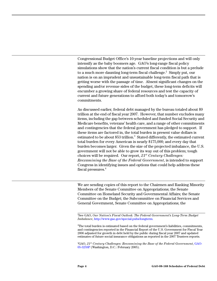Congressional Budget Office's 10-year baseline projections and will only intensify as the baby boomers age. GAO's long-range fiscal policy simulations show that the nation's current fiscal condition is but a prelude to a much more daunting long-term fiscal challenge.<sup>2</sup> Simply put, our nation is on an imprudent and unsustainable long-term fiscal path that is getting worse with the passage of time. Absent significant changes on the spending and/or revenue sides of the budget, these long-term deficits will encumber a growing share of federal resources and test the capacity of current and future generations to afford both today's and tomorrow's commitments.

As discussed earlier, federal debt managed by the bureau totaled about \$9 trillion at the end of fiscal year 2007. However, that number excludes many items, including the gap between scheduled and funded Social Security and Medicare benefits, veterans' health care, and a range of other commitments and contingencies that the federal government has pledged to support. If these items are factored in, the total burden in present value dollars is estimated to be about \$53 trillion.<sup>3</sup> Stated differently, the estimated current total burden for every American is nearly \$175,000; and every day that burden becomes larger. Given the size of the projected imbalance, the U.S. government will not be able to grow its way out of this problem; tough choices will be required. Our report, *21st Century Challenges: Reexamining the Base of the Federal Government*, is intended to support Congress in identifying issues and options that could help address these fiscal pressures.<sup>4</sup>

We are sending copies of this report to the Chairmen and Ranking Minority Members of the Senate Committee on Appropriations; the Senate Committee on Homeland Security and Governmental Affairs; the Senate Committee on the Budget; the Subcommittee on Financial Services and General Government, Senate Committee on Appropriations; the

2 See GAO, *Our Nation's Fiscal Outlook: The Federal Government's Long-Term Budget Imbalance*, [http://www.gao.gov/special.pubs/longterm.](http://www.gao.gov/special.pubs/longterm.
)

3 The total burden is estimated based on the federal government's liabilities, commitments, and contingencies reported in the Financial Report of the U.S. Government for Fiscal Year 2006 adjusted for growth in debt held by the public during fiscal year 2007 and updated estimates of future social insurance obligations as reported in the 2007 Trustees reports.

4 GAO, *21st Century Challenges: Reexamining the Base of the Federal Government*, [GAO-](http://www.gao.gov/cgi-bin/getrpt?GAO-05-325SP)[05-325SP](http://www.gao.gov/cgi-bin/getrpt?GAO-05-325SP) (Washington, D.C.: February 2005).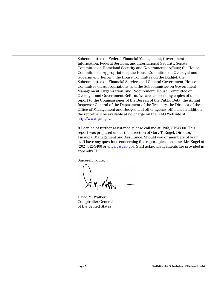Subcommittee on Federal Financial Management, Government Information, Federal Services, and International Security, Senate Committee on Homeland Security and Governmental Affairs; the House Committee on Appropriations; the House Committee on Oversight and Government Reform; the House Committee on the Budget; the Subcommittee on Financial Services and General Government, House Committee on Appropriations; and the Subcommittee on Government Management, Organization, and Procurement, House Committee on Oversight and Government Reform. We are also sending copies of this report to the Commissioner of the Bureau of the Public Debt, the Acting Inspector General of the Department of the Treasury, the Director of the Office of Management and Budget, and other agency officials. In addition, the report will be available at no charge on the GAO Web site at [http://www.gao.gov.](http://www.gao.gov)

If I can be of further assistance, please call me at (202) 512-5500. This report was prepared under the direction of Gary T. Engel, Director, Financial Management and Assurance. Should you or members of your staff have any questions concerning this report, please contact Mr. Engel at (202) 512-3406 or [engelg@gao.gov.](mailto:engelg@gao.gov) Staff acknowledgements are provided in appendix II.

Sincerely yours,

 $\sqrt{a}$  m-Wan

David M. Walker Comptroller General of the United States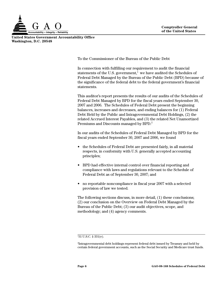

**United States Government Accountability Office Washington, D.C. 20548**

<span id="page-8-0"></span>To the Commissioner of the Bureau of the Public Debt

In connection with fulfilling our requirement to audit the financial statements of the U.S. government, $1$  we have audited the Schedules of Federal Debt Managed by the Bureau of the Public Debt (BPD) because of the significance of the federal debt to the federal government's financial statements.

This auditor's report presents the results of our audits of the Schedules of Federal Debt Managed by BPD for the fiscal years ended September 30, 2007 and 2006. The Schedules of Federal Debt present the beginning balances, increases and decreases, and ending balances for (1) Federal Debt Held by the Public and Intragovernmental Debt Holdings, (2) the related Accrued Interest Payables, and (3) the related Net Unamortized Premiums and Discounts managed by BPD.<sup>2</sup>

In our audits of the Schedules of Federal Debt Managed by BPD for the fiscal years ended September 30, 2007 and 2006, we found

- the Schedules of Federal Debt are presented fairly, in all material respects, in conformity with U.S. generally accepted accounting principles;
- BPD had effective internal control over financial reporting and compliance with laws and regulations relevant to the Schedule of Federal Debt as of September 30, 2007; and
- no reportable noncompliance in fiscal year 2007 with a selected provision of law we tested.

The following sections discuss, in more detail, (1) these conclusions; (2) our conclusion on the Overview on Federal Debt Managed by the Bureau of the Public Debt; (3) our audit objectives, scope, and methodology; and (4) agency comments.

<sup>1</sup> 31 U.S.C. § 331(e).

 $2$ Intragovernmental debt holdings represent federal debt issued by Treasury and held by certain federal government accounts, such as the Social Security and Medicare trust funds.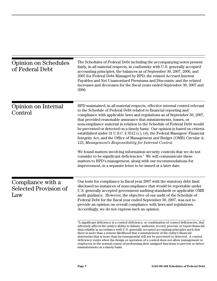<span id="page-9-2"></span><span id="page-9-1"></span><span id="page-9-0"></span>

| <b>Opinion on Schedules</b><br>of Federal Debt           | The Schedules of Federal Debt including the accompanying notes present<br>fairly, in all material respects, in conformity with U.S. generally accepted<br>accounting principles, the balances as of September 30, 2007, 2006, and<br>2005 for Federal Debt Managed by BPD; the related Accrued Interest<br>Payables and Net Unamortized Premiums and Discounts; and the related<br>increases and decreases for the fiscal years ended September 30, 2007 and<br>2006.                                                                                                                                                                                                                                                                                                                                                                                                                                                                                                                                                                                                                                                                                                                                                                             |
|----------------------------------------------------------|---------------------------------------------------------------------------------------------------------------------------------------------------------------------------------------------------------------------------------------------------------------------------------------------------------------------------------------------------------------------------------------------------------------------------------------------------------------------------------------------------------------------------------------------------------------------------------------------------------------------------------------------------------------------------------------------------------------------------------------------------------------------------------------------------------------------------------------------------------------------------------------------------------------------------------------------------------------------------------------------------------------------------------------------------------------------------------------------------------------------------------------------------------------------------------------------------------------------------------------------------|
| Opinion on Internal<br>Control                           | BPD maintained, in all material respects, effective internal control relevant<br>to the Schedule of Federal Debt related to financial reporting and<br>compliance with applicable laws and regulations as of September 30, 2007,<br>that provided reasonable assurance that misstatements, losses, or<br>noncompliance material in relation to the Schedule of Federal Debt would<br>be prevented or detected on a timely basis. Our opinion is based on criteria<br>established under 31 U.S.C. $\S 3512$ (c), (d), the Federal Managers' Financial<br>Integrity Act, and the Office of Management and Budget (OMB) Circular A-<br>123, Management's Responsibility for Internal Control.<br>We found matters involving information security controls that we do not<br>consider to be significant deficiencies. <sup>3</sup> We will communicate these<br>matters to BPD's management, along with our recommendations for<br>improvement, in a separate letter to be issued at a later date.                                                                                                                                                                                                                                                    |
| Compliance with a<br><b>Selected Provision of</b><br>Law | Our tests for compliance in fiscal year 2007 with the statutory debt limit<br>disclosed no instances of noncompliance that would be reportable under<br>U.S. generally accepted government auditing standards or applicable OMB<br>audit guidance. However, the objective of our audit of the Schedule of<br>Federal Debt for the fiscal year ended September 30, 2007, was not to<br>provide an opinion on overall compliance with laws and regulations.<br>Accordingly, we do not express such an opinion.<br><sup>3</sup> A significant deficiency is a control deficiency, or combination of control deficiencies, that<br>adversely affects the entity's ability to initiate, authorize, record, process, or report financial<br>data reliably in accordance with U.S. generally accepted accounting principles such that<br>there is more than a remote likelihood that a misstatement of the entity's financial<br>statements that is more than inconsequential will not be prevented or detected. A control<br>deficiency exists when the design or operation of a control does not allow management or<br>employees in the normal course of performing their assigned functions to prevent or detect<br>misstatements on a timely basis. |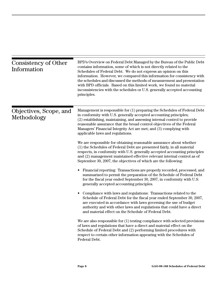<span id="page-10-1"></span><span id="page-10-0"></span>

| Consistency of Other<br>Information   | BPD's Overview on Federal Debt Managed by the Bureau of the Public Debt<br>contains information, some of which is not directly related to the<br>Schedules of Federal Debt. We do not express an opinion on this<br>information. However, we compared this information for consistency with<br>the schedules and discussed the methods of measurement and presentation<br>with BPD officials. Based on this limited work, we found no material<br>inconsistencies with the schedules or U.S. generally accepted accounting<br>principles. |
|---------------------------------------|-------------------------------------------------------------------------------------------------------------------------------------------------------------------------------------------------------------------------------------------------------------------------------------------------------------------------------------------------------------------------------------------------------------------------------------------------------------------------------------------------------------------------------------------|
| Objectives, Scope, and<br>Methodology | Management is responsible for (1) preparing the Schedules of Federal Debt<br>in conformity with U.S. generally accepted accounting principles;<br>(2) establishing, maintaining, and assessing internal control to provide<br>reasonable assurance that the broad control objectives of the Federal<br>Managers' Financial Integrity Act are met; and (3) complying with<br>applicable laws and regulations.                                                                                                                              |
|                                       | We are responsible for obtaining reasonable assurance about whether<br>(1) the Schedules of Federal Debt are presented fairly, in all material<br>respects, in conformity with U.S. generally accepted accounting principles<br>and (2) management maintained effective relevant internal control as of<br>September 30, 2007, the objectives of which are the following:                                                                                                                                                                 |
|                                       | Financial reporting: Transactions are properly recorded, processed, and<br>$\bullet$<br>summarized to permit the preparation of the Schedule of Federal Debt<br>for the fiscal year ended September 30, 2007, in conformity with U.S.<br>generally accepted accounting principles.                                                                                                                                                                                                                                                        |
|                                       | Compliance with laws and regulations: Transactions related to the<br>Schedule of Federal Debt for the fiscal year ended September 30, 2007,<br>are executed in accordance with laws governing the use of budget<br>authority and with other laws and regulations that could have a direct<br>and material effect on the Schedule of Federal Debt.                                                                                                                                                                                         |
|                                       | We are also responsible for $(1)$ testing compliance with selected provisions<br>of laws and regulations that have a direct and material effect on the<br>Schedule of Federal Debt and (2) performing limited procedures with<br>respect to certain other information appearing with the Schedules of<br>Federal Debt.                                                                                                                                                                                                                    |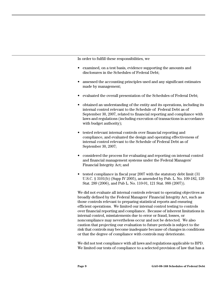In order to fulfill these responsibilities, we

- examined, on a test basis, evidence supporting the amounts and disclosures in the Schedules of Federal Debt;
- assessed the accounting principles used and any significant estimates made by management;
- evaluated the overall presentation of the Schedules of Federal Debt;
- obtained an understanding of the entity and its operations, including its internal control relevant to the Schedule of Federal Debt as of September 30, 2007, related to financial reporting and compliance with laws and regulations (including execution of transactions in accordance with budget authority);
- tested relevant internal controls over financial reporting and compliance, and evaluated the design and operating effectiveness of internal control relevant to the Schedule of Federal Debt as of September 30, 2007;
- considered the process for evaluating and reporting on internal control and financial management systems under the Federal Managers' Financial Integrity Act; and
- tested compliance in fiscal year 2007 with the statutory debt limit (31) U.S.C. § 3101(b) (Supp IV 2005), as amended by Pub. L. No. 109-182, 120 Stat. 289 (2006), and Pub L. No. 110-91, 121 Stat. 988 (2007)).

We did not evaluate all internal controls relevant to operating objectives as broadly defined by the Federal Managers' Financial Integrity Act, such as those controls relevant to preparing statistical reports and ensuring efficient operations. We limited our internal control testing to controls over financial reporting and compliance. Because of inherent limitations in internal control, misstatements due to error or fraud, losses, or noncompliance may nevertheless occur and not be detected. We also caution that projecting our evaluation to future periods is subject to the risk that controls may become inadequate because of changes in conditions or that the degree of compliance with controls may deteriorate.

We did not test compliance with all laws and regulations applicable to BPD. We limited our tests of compliance to a selected provision of law that has a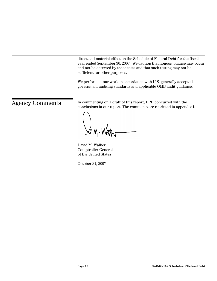direct and material effect on the Schedule of Federal Debt for the fiscal year ended September 30, 2007. We caution that noncompliance may occur and not be detected by these tests and that such testing may not be sufficient for other purposes.

We performed our work in accordance with U.S. generally accepted government auditing standards and applicable OMB audit guidance.

<span id="page-12-0"></span>Agency Comments In commenting on a draft of this report, BPD concurred with the conclusions in our report. The comments are reprinted in appendix I.

 $\mathcal{A}$  m-Want

David M. Walker Comptroller General of the United States

October 31, 2007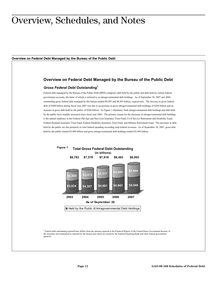### <span id="page-13-0"></span>Overview, Schedules, and Notes

#### <span id="page-13-1"></span>**Overview on Federal Debt Managed by the Bureau of the Public Debt**

#### **Overview on Federal Debt Managed by the Bureau of the Public Debt**

#### *Gross Federal Debt Outstanding1*

Federal debt managed by the Bureau of the Public Debt (BPD) comprises debt held by the public and debt held by certain federal government accounts, the latter of which is referred to as intragovernmental debt holdings. As of September 30, 2007 and 2006, outstanding gross federal debt managed by the bureau totaled \$8,993 and \$8,493 billion, respectively. The increase in gross federal debt of \$500 billion during fiscal year 2007 was due to an increase in gross intragovernmental debt holdings of \$294 billion and an increase in gross debt held by the public of \$206 billion. As Figure 1 illustrates, both intragovernmental debt holdings and debt held by the public have steadily increased since fiscal year 2003. The primary reason for the increases in intragovernmental debt holdings is the annual surpluses in the Federal Old-Age and Survivors Insurance Trust Fund, Civil Service Retirement and Disability Fund, Federal Hospital Insurance Trust Fund, Federal Disability Insurance Trust Fund, and Military Retirement Fund. The increases in debt held by the public are due primarily to total federal spending exceeding total federal revenues. As of September 30, 2007, gross debt held by the public totaled \$5,049 billion and gross intragovernmental debt holdings totaled \$3,944 billion.



<sup>1</sup> Federal debt outstanding reported here differs from the amount reported in the Financial Report of the United States Government because of the securities not maintained or reported by the bureau and which are issued by the Federal Financing Bank and other federal government agencies.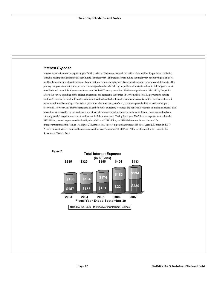#### *Interest Expense*

Interest expense incurred during fiscal year 2007 consists of (1) interest accrued and paid on debt held by the public or credited to accounts holding intragovernmental debt during the fiscal year, (2) interest accrued during the fiscal year, but not yet paid on debt held by the public or credited to accounts holding intragovernmental debt, and (3) net amortization of premiums and discounts. The primary components of interest expense are interest paid on the debt held by the public and interest credited to federal government trust funds and other federal government accounts that hold Treasury securities. The interest paid on the debt held by the public affects the current spending of the federal government and represents the burden in servicing its debt (i.e., payments to outside creditors). Interest credited to federal government trust funds and other federal government accounts, on the other hand, does not result in an immediate outlay of the federal government because one part of the government pays the interest and another part receives it. However, this interest represents a claim on future budgetary resources and hence an obligation on future taxpayers. This interest, when reinvested by the trust funds and other federal government accounts, is included in the programs' excess funds not currently needed in operations, which are invested in federal securities. During fiscal year 2007, interest expense incurred totaled \$433 billion, interest expense on debt held by the public was \$239 billion, and \$194 billion was interest incurred for intragovernmental debt holdings. As Figure 2 illustrates, total interest expense has increased in fiscal years 2003 through 2007. Average interest rates on principal balances outstanding as of September 30, 2007 and 2006, are disclosed in the Notes to the Schedules of Federal Debt.



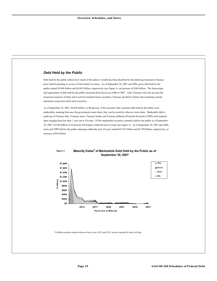#### *Debt Held by the Public*

Debt held by the public reflects how much of the nation's wealth has been absorbed by the federal government to finance prior federal spending in excess of total federal revenues. As of September 30, 2007 and 2006, gross debt held by the public totaled \$5,049 billion and \$4,843 billion, respectively (see Figure 1), an increase of \$206 billion. The borrowings and repayments of debt held by the public increased from fiscal year 2006 to 2007. After Treasury took into account the increased issuances of State and Local Government Series securities, Treasury decided to finance the remaining current operations using more short-term securities.

As of September 30, 2007, \$4,428 billion, or 88 percent, of the securities that constitute debt held by the public were marketable, meaning that once the government issues them, they can be resold by whoever owns them. Marketable debt is made up of Treasury bills, Treasury notes, Treasury bonds, and Treasury Inflation-Protected Securities (TIPS) with maturity dates ranging from less than 1 year out to 30 years. Of the marketable securities currently held by the public as of September 30, 2007, \$2,838 billion or 64 percent will mature within the next 4 years (see Figure 3). As of September 30, 2007 and 2006, notes and TIPS held by the public maturing within the next 10 years totaled \$2,767 billion and \$2,709 billion, respectively, an increase of \$58 billion.



#### **Maturity Dates<sup>2</sup> of Marketable Debt Held by the Public as of September 30, 2007 Figure 3**

<sup>2</sup> Callable securities mature between fiscal years 2013 and 2015, but are reported by their call date.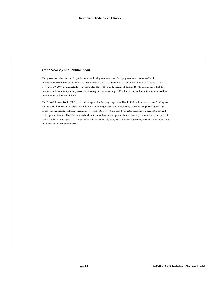#### *Debt Held by the Public, cont.*

The government also issues to the public, state and local governments, and foreign governments and central banks nonmarketable securities, which cannot be resold, and have maturity dates from on demand to more than 10 years. As of September 30, 2007, nonmarketable securities totaled \$621 billion, or 12 percent of debt held by the public. As of that date, nonmarketable securities primarily consisted of savings securities totaling \$197 billion and special securities for state and local governments totaling \$297 billion.

The Federal Reserve Banks (FRBs) act as fiscal agents for Treasury, as permitted by the Federal Reserve Act. As fiscal agents for Treasury, the FRBs play a significant role in the processing of marketable book-entry securities and paper U.S. savings bonds. For marketable book-entry securities, selected FRBs receive bids, issue book-entry securities to awarded bidders and collect payment on behalf of Treasury, and make interest and redemption payments from Treasury's account to the accounts of security holders. For paper U.S. savings bonds, selected FRBs sell, print, and deliver savings bonds; redeem savings bonds; and handle the related transfers of cash.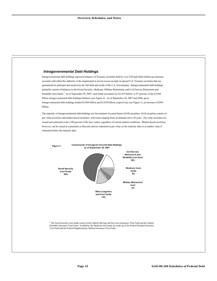#### *Intragovernmental Debt Holdings*

Intragovernmental debt holdings represent balances of Treasury securities held by over 230 individual federal government accounts with either the authority or the requirement to invest excess receipts in special U.S. Treasury securities that are guaranteed for principal and interest by the full faith and credit of the U.S. Government. Intragovernmental debt holdings primarily consist of balances in the Social Security, Medicare, Military Retirement, and Civil Service Retirement and Disability trust funds.<sup>3</sup> As of September 30, 2007, such funds accounted for \$3,419 billion, or 87 percent, of the \$3,944 billion intragovernmental debt holdings balances (see Figure 4). As of September 30, 2007 and 2006, gross intragovernmental debt holdings totaled \$3,944 billion and \$3,650 billion, respectively (see Figure 1), an increase of \$294 billion.

The majority of intragovernmental debt holdings are Government Account Series (GAS) securities. GAS securities consist of par value securities and market-based securities, with terms ranging from on demand out to 30 years. Par value securities are issued and redeemed at par (100 percent of the face value), regardless of current market conditions. Market-based securities, however, can be issued at a premium or discount and are redeemed at par value on the maturity date or at market value if redeemed before the maturity date.



<sup>3</sup> The Social Security trust funds consist of the Federal Old-Age and Survivors Insurance Trust Fund and the Federal Disability Insurance Trust Fund. In addition, the Medicare trust funds are made up of the Federal Hospital Insurance Trust Fund and the Federal Supplementary Medical Insurance Trust Fund.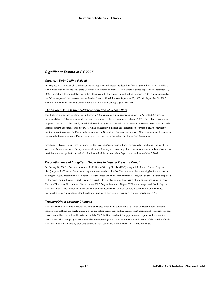#### *Significant Events in FY 2007*

#### *Statutory Debt Ceiling Raised*

On May 17, 2007, a house bill was introduced and approved to increase the debt limit from \$8,965 billion to \$9,815 billion. The bill was then referred to the Senate Committee on Finance on May 21, 2007, where it gained approval on September 12, 2007. Projections determined that the United States would hit the statutory debt limit on October 1, 2007, and consequently, the full senate passed this measure to raise the debt limit by \$850 billion on September 27, 2007. On September 29, 2007, Public Law 110-91 was enacted, which raised the statutory debt ceiling to \$9,815 billion.

#### *Thirty-Year Bond Issuance/Discontinuation of 3-Year Note*

The thirty-year bond was re-introduced in February 2006 with semi-annual issuance planned. In August 2006, Treasury announced that the 30-year bond would be issued on a quarterly basis beginning in February 2007. The February issue was reopened in May 2007, followed by an original issue in August 2007 that will be reopened in November 2007. This quarterly issuance pattern has benefited the Separate Trading of Registered Interest and Principal of Securities (STRIPS) market by creating interest payments for February, May, August and November. Beginning in February 2006, the auction and issuance of the monthly 5-year note was shifted to month end to accommodate the re-introduction of the 30-year bond.

Additionally, Treasury's ongoing monitoring of the fiscal year's economic outlook has resulted in the discontinuance of the 3 year note. Discontinuance of the 3-year note will allow Treasury to ensure large liquid benchmark issuances, better balance its portfolio, and manage the fiscal outlook. The final scheduled auction of the 3-year note was held on May 7, 2007.

#### *Discontinuance of Long-Term Securities in Legacy Treasury Direct*

On January 18, 2007, a final amendment to the Uniform Offering Circular (UOC) was published in the Federal Register clarifying that the Treasury Department may announce certain marketable Treasury securities as not eligible for purchase or holding in Legacy Treasury Direct. Legacy Treasury Direct, which was implemented in 1986, will be phased out and replaced by the newer, online TreasuryDirect system. To assist with this phasing out, the offering of longer-term securities in Legacy Treasury Direct was discontinued. Since January 2007, 30-year bonds and 20-year TIPS are no longer available in Legacy Treasury Direct. This amendment also clarified that the announcement for each auction, in conjunction with the UOC, provides the terms and conditions for the sale and issuance of marketable Treasury bills, notes, bonds, and TIPS.

#### *TreasuryDirect Security Changes*

TreasuryDirect is an Internet-accessed system that enables investors to purchase the full range of Treasury securities and manage their holdings in a single account. Sensitive online transactions such as bank account changes and securities sales and transfers could become vulnerable to fraud. In July 2007, BPD initiated certified paper requests to process these sensitive transactions. This third-party investor identification helps mitigate risk and assure individual investors of the security of their Treasury Direct investments by providing additional verification and a written record of transaction requests.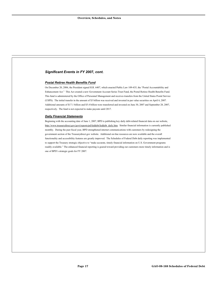#### *Significant Events in FY 2007, cont.*

#### *Postal Retiree Health Benefits Fund*

On December 20, 2006, the President signed H.R. 6407, which enacted Public Law 109-435, the "Postal Accountability and Enhancement Act." This Act created a new Government Account Series Trust Fund, the Postal Retiree Health Benefits Fund. This fund is administered by the Office of Personnel Management and receives transfers from the United States Postal Service (USPS). The initial transfer in the amount of \$3 billion was received and invested in par value securities on April 6, 2007. Additional amounts of \$17.1 billion and \$5.4 billion were transferred and invested on June 30, 2007 and September 28, 2007, respectively. The fund is not expected to make payouts until 2017.

#### *Daily Financial Statements*

Beginning with the accounting date of June 1, 2007, BPD is publishing key daily debt-related financial data on our website, http://www.treasurydirect.gov/govt/reports/pd/feddebt/feddebt\_daily.htm. Similar financial information is currently published monthly. During the past fiscal year, BPD strengthened internet communications with customers by redesigning the government section of the Treasurydirect.gov website. Additional on-line resources are now available and the overall functionality and accessibility features are greatly improved. The Schedules of Federal Debt daily reporting was implemented to support the Treasury strategic objective to "make accurate, timely financial information on U.S. Government programs readily available." The enhanced financial reporting is geared toward providing our customers more timely information and is one of BPD's strategic goals for FY 2007.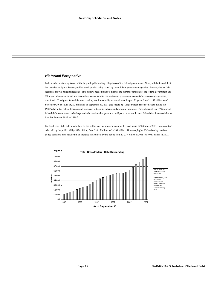#### *Historical Perspective*

Federal debt outstanding is one of the largest legally binding obligations of the federal government. Nearly all the federal debt has been issued by the Treasury with a small portion being issued by other federal government agencies. Treasury issues debt securities for two principal reasons, (1) to borrow needed funds to finance the current operations of the federal government and (2) to provide an investment and accounting mechanism for certain federal government accounts' excess receipts, primarily trust funds. Total gross federal debt outstanding has dramatically increased over the past 25 years from \$1,142 billion as of September 30, 1982, to \$8,993 billion as of September 30, 2007 (see Figure 5). Large budget deficits emerged during the 1980's due to tax policy decisions and increased outlays for defense and domestic programs. Through fiscal year 1997, annual federal deficits continued to be large and debt continued to grow at a rapid pace. As a result, total federal debt increased almost five fold between 1982 and 1997.

By fiscal year 1998, federal debt held by the public was beginning to decline. In fiscal years 1998 through 2001, the amount of debt held by the public fell by \$476 billion, from \$3,815 billion to \$3,339 billion. However, higher Federal outlays and tax policy decisions have resulted in an increase in debt held by the public from \$3,339 billion in 2001 to \$5,049 billion in 2007.

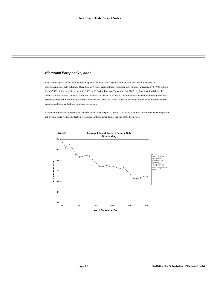#### *Historical Perspective, cont.*

Even in those years where debt held by the public declined, total federal debt increased because of increases in intragovernmental debt holdings. Over the past 4 fiscal years, intragovernmental debt holdings increased by \$1,085 billion, from \$2,859 billion as of September 30, 2003, to \$3,944 billion as of September 30, 2007. By law, trust funds have the authority or are required to invest surpluses in federal securities. As a result, the intragovernmental debt holdings balances primarily represent the cumulative surplus of funds due to the trust funds' cumulative annual excess of tax receipts, interest credited, and other collections compared to spending.

As shown in Figure 6, interest rates have fluctuated over the past 25 years. The average interest rates reflected here represent the original issue weighted effective yield on securities outstanding at the end of the fiscal year.

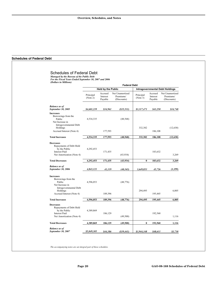#### <span id="page-22-0"></span>**Schedules of Federal Debt**

|                                                                                                                                         |                       |                                | <b>Federal Debt</b>                         |                       |                                |                                             |
|-----------------------------------------------------------------------------------------------------------------------------------------|-----------------------|--------------------------------|---------------------------------------------|-----------------------|--------------------------------|---------------------------------------------|
|                                                                                                                                         |                       | <b>Held by the Public</b>      |                                             |                       |                                | <b>Intragovernmental Debt Holdings</b>      |
|                                                                                                                                         | Principal<br>(Note 2) | Accrued<br>Interest<br>Payable | Net Unamortized<br>Premiums/<br>(Discounts) | Principal<br>(Note 3) | Accrued<br>Interest<br>Payable | Net Unamortized<br>Premiums/<br>(Discounts) |
| <b>Balance</b> as of<br>September 30, 2005                                                                                              | \$4,601,239           | \$34,961                       | $($ \$35,531)                               | \$3,317,471           | \$43,250                       | \$14,740                                    |
| <b>Increases</b><br>Borrowings from the<br>Public<br>Net Increase in<br>Intragovernmental Debt                                          | 4,534,335             |                                | (48, 568)                                   |                       |                                |                                             |
| Holdings<br>Accrued Interest (Note 4)                                                                                                   |                       | 177,593                        |                                             | 332,382               | 186,108                        | (12,630)                                    |
| <b>Total Increases</b>                                                                                                                  | 4,534,335             | 177,593                        | (48, 568)                                   | 332,382               | 186,108                        | (12, 630)                                   |
| <b>Decreases</b><br>Repayments of Debt Held<br>by the Public<br><b>Interest Paid</b><br>Net Amortization (Note 4)                       | 4,292,453             | 171,435                        | (43, 934)                                   |                       | 183,632                        | 3,269                                       |
| <b>Total Decreases</b>                                                                                                                  | 4,292,453             | 171,435                        | (43, 934)                                   | $\bf{0}$              | 183,632                        | 3,269                                       |
| <b>Balance</b> as of<br>September 30, 2006                                                                                              | 4,843,121             | 41,119                         | (40, 165)                                   | 3,649,853             | 45,726                         | (1,159)                                     |
| <b>Increases</b><br>Borrowings from the<br>Public<br>Net Increase in<br>Intragovernmental Debt<br>Holdings<br>Accrued Interest (Note 4) | 4,596,053             | 189,396                        | (48, 776)                                   | 294,495               | 195,445                        | 6,005                                       |
| <b>Total Increases</b>                                                                                                                  |                       |                                |                                             |                       |                                |                                             |
| <b>Decreases</b>                                                                                                                        | 4,596,053             | 189,396                        | (48, 776)                                   | 294,495               | 195,445                        | 6,005                                       |
| Repayments of Debt Held<br>by the Public<br><b>Interest Paid</b><br>Net Amortization (Note 4)                                           | 4,389,869             | 186,129                        | (49,500)                                    |                       | 192,560                        | 1,116                                       |
| <b>Total Decreases</b>                                                                                                                  | 4,389,869             | 186,129                        | (49,500)                                    | $\bf{0}$              | 192,560                        | 1,116                                       |
| <b>Balance</b> as of<br>September 30, 2007                                                                                              | \$5,049,305           | \$44,386                       | $($ \$39,441)                               | \$3,944,348           | \$48,611                       | \$3,730                                     |

*The accompanying notes are an integral part of these schedules.*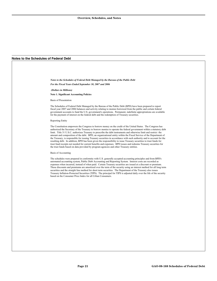#### <span id="page-23-0"></span>**Notes to the Schedules of Federal Debt**

*Notes to the Schedules of Federal Debt Managed by the Bureau of the Public Debt For the Fiscal Years Ended September 30, 2007 and 2006 (Dollars in Millions)*  **Note 1. Significant Accounting Policies**  Basis of Presentation The Schedules of Federal Debt Managed by the Bureau of the Public Debt (BPD) have been prepared to report fiscal year 2007 and 2006 balances and activity relating to monies borrowed from the public and certain federal government accounts to fund the U.S. government's operations. Permanent, indefinite appropriations are available for the payment of interest on the federal debt and the redemption of Treasury securities. Reporting Entity The Constitution empowers the Congress to borrow money on the credit of the United States. The Congress has authorized the Secretary of the Treasury to borrow monies to operate the federal government within a statutory debt limit. Title 31 U.S.C. authorizes Treasury to prescribe the debt instruments and otherwise limit and restrict the amount and composition of the debt. BPD, an organizational entity within the Fiscal Service of the Department of the Treasury, is responsible for issuing Treasury securities in accordance with such authority and to account for the resulting debt. In addition, BPD has been given the responsibility to issue Treasury securities to trust funds for trust fund receipts not needed for current benefits and expenses. BPD issues and redeems Treasury securities for the trust funds based on data provided by program agencies and other Treasury entities. Basis of Accounting The schedules were prepared in conformity with U.S. generally accepted accounting principles and from BPD's automated accounting system, Public Debt Accounting and Reporting System. Interest costs are recorded as expenses when incurred, instead of when paid. Certain Treasury securities are issued at a discount or premium. These discounts and premiums are amortized over the term of the security using an interest method for all long term securities and the straight line method for short term securities. The Department of the Treasury also issues Treasury Inflation-Protected Securities (TIPS). The principal for TIPS is adjusted daily over the life of the security based on the Consumer Price Index for all Urban Consumers.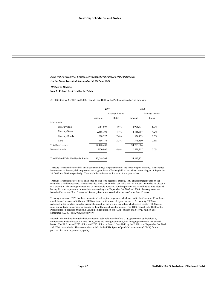| Notes to the Schedules of Federal Debt Managed by the Bureau of the Public Debt<br>For the Fiscal Years Ended September 30, 2007 and 2006                                                                                                                                                                                                                                                                                                                                                                                                                                                                                                                                                                                                                                                                                                                                                                                               |             |                  |                                                                                                                   |                                                                                                           |
|-----------------------------------------------------------------------------------------------------------------------------------------------------------------------------------------------------------------------------------------------------------------------------------------------------------------------------------------------------------------------------------------------------------------------------------------------------------------------------------------------------------------------------------------------------------------------------------------------------------------------------------------------------------------------------------------------------------------------------------------------------------------------------------------------------------------------------------------------------------------------------------------------------------------------------------------|-------------|------------------|-------------------------------------------------------------------------------------------------------------------|-----------------------------------------------------------------------------------------------------------|
| (Dollars in Millions)<br>Note 2. Federal Debt Held by the Public                                                                                                                                                                                                                                                                                                                                                                                                                                                                                                                                                                                                                                                                                                                                                                                                                                                                        |             |                  |                                                                                                                   |                                                                                                           |
| As of September 30, 2007 and 2006, Federal Debt Held by the Public consisted of the following:                                                                                                                                                                                                                                                                                                                                                                                                                                                                                                                                                                                                                                                                                                                                                                                                                                          |             |                  |                                                                                                                   |                                                                                                           |
|                                                                                                                                                                                                                                                                                                                                                                                                                                                                                                                                                                                                                                                                                                                                                                                                                                                                                                                                         | 2007        |                  | 2006                                                                                                              |                                                                                                           |
|                                                                                                                                                                                                                                                                                                                                                                                                                                                                                                                                                                                                                                                                                                                                                                                                                                                                                                                                         |             | Average Interest |                                                                                                                   | Average Interest                                                                                          |
|                                                                                                                                                                                                                                                                                                                                                                                                                                                                                                                                                                                                                                                                                                                                                                                                                                                                                                                                         | Amount      | Rates            | Amount                                                                                                            | Rates                                                                                                     |
| Marketable:                                                                                                                                                                                                                                                                                                                                                                                                                                                                                                                                                                                                                                                                                                                                                                                                                                                                                                                             |             |                  |                                                                                                                   |                                                                                                           |
| <b>Treasury Bills</b>                                                                                                                                                                                                                                                                                                                                                                                                                                                                                                                                                                                                                                                                                                                                                                                                                                                                                                                   | \$954,607   | 4.6%             | \$908,474                                                                                                         | 5.0%                                                                                                      |
| <b>Treasury Notes</b>                                                                                                                                                                                                                                                                                                                                                                                                                                                                                                                                                                                                                                                                                                                                                                                                                                                                                                                   | 2,456,100   | 4.4%             | 2,445,307                                                                                                         | 4.2%                                                                                                      |
| <b>Treasury Bonds</b>                                                                                                                                                                                                                                                                                                                                                                                                                                                                                                                                                                                                                                                                                                                                                                                                                                                                                                                   | 560,922     | 7.4%             | 534,473                                                                                                           | 7.6%                                                                                                      |
| <b>TIPS</b>                                                                                                                                                                                                                                                                                                                                                                                                                                                                                                                                                                                                                                                                                                                                                                                                                                                                                                                             | 456,776     | 2.3%             | 395,550                                                                                                           | 2.3%                                                                                                      |
| <b>Total Marketable</b>                                                                                                                                                                                                                                                                                                                                                                                                                                                                                                                                                                                                                                                                                                                                                                                                                                                                                                                 | \$4,428,405 |                  | \$4,283,804                                                                                                       |                                                                                                           |
| Nonmarketable                                                                                                                                                                                                                                                                                                                                                                                                                                                                                                                                                                                                                                                                                                                                                                                                                                                                                                                           | \$620,900   | 4.9%             | \$559,317                                                                                                         | 5.0%                                                                                                      |
| Total Federal Debt Held by the Public                                                                                                                                                                                                                                                                                                                                                                                                                                                                                                                                                                                                                                                                                                                                                                                                                                                                                                   | \$5,049,305 |                  | \$4,843,121                                                                                                       |                                                                                                           |
| Treasury issues marketable bills at a discount and pays the par amount of the security upon maturity. The average<br>interest rate on Treasury bills represents the original issue effective yield on securities outstanding as of September<br>30, 2007 and 2006, respectively. Treasury bills are issued with a term of one year or less.<br>Treasury issues marketable notes and bonds as long-term securities that pay semi-annual interest based on the<br>securities' stated interest rate. These securities are issued at either par value or at an amount that reflects a discount<br>or a premium. The average interest rate on marketable notes and bonds represents the stated interest rate adjusted<br>by any discount or premium on securities outstanding as of September 30, 2007 and 2006. Treasury notes are<br>issued with a term of $2 - 10$ years and Treasury bonds are issued with a term of more than 10 years. |             |                  | Treasury also issues TIPS that have interest and redemption payments, which are tied to the Consumer Price Index, | a widely used measure of inflation. TIPS are issued with a term of 5 years or more. At maturity, TIPS are |

and 2006, respectively. These securities are held in the FRB System Open Market Account (SOMA) for the

purpose of conducting monetary policy.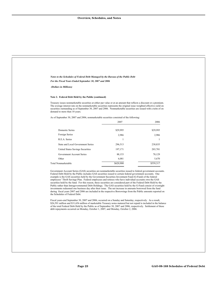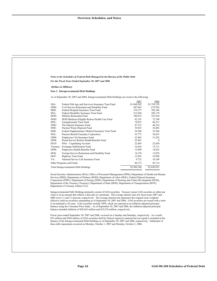|              | Notes to the Schedules of Federal Debt Managed by the Bureau of the Public Debt                                                                                                                                                                                                                                                                                                                                                                                                                                                                                                                                                                                                                                  |                                                                                        |                    |
|--------------|------------------------------------------------------------------------------------------------------------------------------------------------------------------------------------------------------------------------------------------------------------------------------------------------------------------------------------------------------------------------------------------------------------------------------------------------------------------------------------------------------------------------------------------------------------------------------------------------------------------------------------------------------------------------------------------------------------------|----------------------------------------------------------------------------------------|--------------------|
|              | For the Fiscal Years Ended September 30, 2007 and 2006                                                                                                                                                                                                                                                                                                                                                                                                                                                                                                                                                                                                                                                           |                                                                                        |                    |
|              | (Dollars in Millions)                                                                                                                                                                                                                                                                                                                                                                                                                                                                                                                                                                                                                                                                                            |                                                                                        |                    |
|              | Note 3. Intragovernmental Debt Holdings                                                                                                                                                                                                                                                                                                                                                                                                                                                                                                                                                                                                                                                                          |                                                                                        |                    |
|              | As of September 30, 2007 and 2006, Intragovernmental Debt Holdings are owed to the following:                                                                                                                                                                                                                                                                                                                                                                                                                                                                                                                                                                                                                    |                                                                                        |                    |
|              |                                                                                                                                                                                                                                                                                                                                                                                                                                                                                                                                                                                                                                                                                                                  | 2007                                                                                   | 2006               |
| SSA:         | Federal Old-Age and Survivors Insurance Trust Fund                                                                                                                                                                                                                                                                                                                                                                                                                                                                                                                                                                                                                                                               | \$1,968,262                                                                            | \$1,793,129        |
| OPM:<br>HHS: | Civil Service Retirement and Disability Fund                                                                                                                                                                                                                                                                                                                                                                                                                                                                                                                                                                                                                                                                     | 687,665<br>319,377                                                                     | 675,936            |
| SSA:         | Federal Hospital Insurance Trust Fund<br>Federal Disability Insurance Trust Fund                                                                                                                                                                                                                                                                                                                                                                                                                                                                                                                                                                                                                                 | 213,830                                                                                | 302,186<br>202,178 |
| DOD:         | Military Retirement Fund                                                                                                                                                                                                                                                                                                                                                                                                                                                                                                                                                                                                                                                                                         | 190,232                                                                                | 181,810            |
| DOD:         | DOD Medicare-Eligible Retiree Health Care Fund                                                                                                                                                                                                                                                                                                                                                                                                                                                                                                                                                                                                                                                                   | 92,191                                                                                 | 72,740             |
| DOL:         | Unemployment Trust Fund                                                                                                                                                                                                                                                                                                                                                                                                                                                                                                                                                                                                                                                                                          | 74,923                                                                                 | 66,213             |
| FDIC:        | The Deposit Insurance Fund                                                                                                                                                                                                                                                                                                                                                                                                                                                                                                                                                                                                                                                                                       | 47,515                                                                                 | 46,216             |
| DOE:         | Nuclear Waste Disposal Fund                                                                                                                                                                                                                                                                                                                                                                                                                                                                                                                                                                                                                                                                                      | 39,435                                                                                 | 36,482             |
| HHS:         | Federal Supplementary Medical Insurance Trust Fund                                                                                                                                                                                                                                                                                                                                                                                                                                                                                                                                                                                                                                                               | 39,248                                                                                 | 32,306             |
| DOL:         | Pension Benefit Guaranty Corporation                                                                                                                                                                                                                                                                                                                                                                                                                                                                                                                                                                                                                                                                             | 35,775                                                                                 | 36,635             |
| OPM:         | Employees Life Insurance Fund                                                                                                                                                                                                                                                                                                                                                                                                                                                                                                                                                                                                                                                                                    | 32,965                                                                                 | 31,282             |
| OPM:         | Postal Service Retiree Health Benefits Fund                                                                                                                                                                                                                                                                                                                                                                                                                                                                                                                                                                                                                                                                      | 25,491                                                                                 | $\mathbf{0}$       |
| HUD:         | FHA - Liquidating Account                                                                                                                                                                                                                                                                                                                                                                                                                                                                                                                                                                                                                                                                                        | 22,405                                                                                 | 22,030             |
|              | Treasury: Exchange Stabilization Fund                                                                                                                                                                                                                                                                                                                                                                                                                                                                                                                                                                                                                                                                            | 16,436                                                                                 | 15,711             |
| OPM:         | Employees Health Benefits Fund                                                                                                                                                                                                                                                                                                                                                                                                                                                                                                                                                                                                                                                                                   | 15,890                                                                                 | 14,822             |
| DOS:         | Foreign Service Retirement and Disability Fund                                                                                                                                                                                                                                                                                                                                                                                                                                                                                                                                                                                                                                                                   | 14,378                                                                                 | 13,876             |
| DOT:         |                                                                                                                                                                                                                                                                                                                                                                                                                                                                                                                                                                                                                                                                                                                  |                                                                                        | 10,998             |
|              | Highway Trust Fund                                                                                                                                                                                                                                                                                                                                                                                                                                                                                                                                                                                                                                                                                               | 12,205                                                                                 |                    |
| VA:          | National Service Life Insurance Fund                                                                                                                                                                                                                                                                                                                                                                                                                                                                                                                                                                                                                                                                             | 9,752                                                                                  | 10,189             |
|              | Other Programs and Funds                                                                                                                                                                                                                                                                                                                                                                                                                                                                                                                                                                                                                                                                                         | 86,373                                                                                 | 85,114             |
|              | Total Intragovernmental Debt Holdings                                                                                                                                                                                                                                                                                                                                                                                                                                                                                                                                                                                                                                                                            | \$3,944,348                                                                            | \$3,649,853        |
|              | Social Security Administration (SSA); Office of Personnel Management (OPM); Department of Health and Human<br>Services (HHS); Department of Defense (DOD); Department of Labor (DOL); Federal Deposit Insurance<br>Corporation (FDIC); Department of Energy (DOE); Department of Housing and Urban Development (HUD);<br>Department of the Treasury (Treasury); Department of State (DOS); Department of Transportation (DOT);<br>Department of Veterans Affairs (VA).<br>Intragovernmental Debt Holdings primarily consist of GAS securities. Treasury issues GAS securities at either par<br>value or at an amount that reflects a discount or a premium. The average interest rates for fiscal years 2007 and |                                                                                        |                    |
|              | 2006 were 5.1 and 5.2 percent, respectively. The average interest rate represents the original issue weighted<br>effective yield on securities outstanding as of September 30, 2007 and 2006. GAS securities are issued with a term<br>of on demand to 30 years. GAS securities include TIPS, which are reported at an inflation-adjusted principal<br>balance using the Consumer Price Index. As of September 30, 2007 and 2006, the inflation-adjusted principal<br>balance included inflation of \$28,643 million and \$19,576 million, respectively.                                                                                                                                                         |                                                                                        |                    |
|              | Fiscal years-ended September 30, 2007 and 2006, occurred on a Sunday and Saturday, respectively. As a result,<br>\$53 million and \$360 million of GAS securities held by Federal Agencies matured but not repaid is included in the<br>balance of the Intragovernmental Debt Holdings as of September 30, 2007 and 2006, respectively. Settlement of                                                                                                                                                                                                                                                                                                                                                            | these debt repayments occurred on Monday, October 1, 2007 and Monday, October 2, 2006. |                    |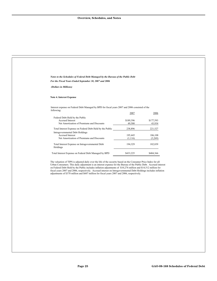| Notes to the Schedules of Federal Debt Managed by the Bureau of the Public Debt                                                                                                                                                                                                                                                                                                                                                                                                                                                                                            |           |           |
|----------------------------------------------------------------------------------------------------------------------------------------------------------------------------------------------------------------------------------------------------------------------------------------------------------------------------------------------------------------------------------------------------------------------------------------------------------------------------------------------------------------------------------------------------------------------------|-----------|-----------|
| For the Fiscal Years Ended September 30, 2007 and 2006                                                                                                                                                                                                                                                                                                                                                                                                                                                                                                                     |           |           |
| (Dollars in Millions)                                                                                                                                                                                                                                                                                                                                                                                                                                                                                                                                                      |           |           |
| Note 4. Interest Expense                                                                                                                                                                                                                                                                                                                                                                                                                                                                                                                                                   |           |           |
| Interest expense on Federal Debt Managed by BPD for fiscal years 2007 and 2006 consisted of the<br>following:                                                                                                                                                                                                                                                                                                                                                                                                                                                              |           |           |
|                                                                                                                                                                                                                                                                                                                                                                                                                                                                                                                                                                            | 2007      | 2006      |
| Federal Debt Held by the Public<br>Accrued Interest                                                                                                                                                                                                                                                                                                                                                                                                                                                                                                                        | \$189,396 | \$177,593 |
| Net Amortization of Premiums and Discounts                                                                                                                                                                                                                                                                                                                                                                                                                                                                                                                                 | 49,500    | 43,934    |
| Total Interest Expense on Federal Debt Held by the Public                                                                                                                                                                                                                                                                                                                                                                                                                                                                                                                  | 238,896   | 221,527   |
| Intragovernmental Debt Holdings<br>Accrued Interest                                                                                                                                                                                                                                                                                                                                                                                                                                                                                                                        | 195,445   | 186,108   |
| Net Amortization of Premiums and Discounts                                                                                                                                                                                                                                                                                                                                                                                                                                                                                                                                 | (1,116)   | (3,269)   |
| Total Interest Expense on Intragovernmental Debt<br>Holdings                                                                                                                                                                                                                                                                                                                                                                                                                                                                                                               | 194,329   | 182,839   |
| Total Interest Expense on Federal Debt Managed by BPD                                                                                                                                                                                                                                                                                                                                                                                                                                                                                                                      | \$433,225 | \$404,366 |
| The valuation of TIPS is adjusted daily over the life of the security based on the Consumer Price Index for all<br>Urban Consumers. This daily adjustment is an interest expense for the Bureau of the Public Debt. Accrued interest<br>on Federal Debt Held by the Public includes inflation adjustments of \$10,276 million and \$14,512 million for<br>fiscal years 2007 and 2006, respectively. Accrued interest on Intragovernmental Debt Holdings includes inflation<br>adjustments of \$378 million and \$607 million for fiscal years 2007 and 2006, respectively. |           |           |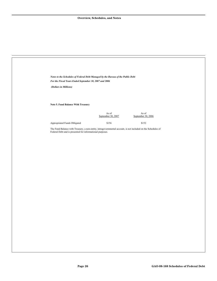| Notes to the Schedules of Federal Debt Managed by the Bureau of the Public Debt<br>For the Fiscal Years Ended September 30, 2007 and 2006<br>(Dollars in Millions)<br>Note 5. Fund Balance With Treasury<br>As of<br>As of<br>September 30, 2007<br>September 30, 2006<br>Appropriated Funds Obligated<br>\$156<br>\$152<br>The Fund Balance with Treasury, a non-entity, intragovernmental account, is not included on the Schedules of<br>Federal Debt and is presented for informational purposes. |  |  |
|-------------------------------------------------------------------------------------------------------------------------------------------------------------------------------------------------------------------------------------------------------------------------------------------------------------------------------------------------------------------------------------------------------------------------------------------------------------------------------------------------------|--|--|
|                                                                                                                                                                                                                                                                                                                                                                                                                                                                                                       |  |  |
|                                                                                                                                                                                                                                                                                                                                                                                                                                                                                                       |  |  |
|                                                                                                                                                                                                                                                                                                                                                                                                                                                                                                       |  |  |
|                                                                                                                                                                                                                                                                                                                                                                                                                                                                                                       |  |  |
|                                                                                                                                                                                                                                                                                                                                                                                                                                                                                                       |  |  |
|                                                                                                                                                                                                                                                                                                                                                                                                                                                                                                       |  |  |
|                                                                                                                                                                                                                                                                                                                                                                                                                                                                                                       |  |  |
|                                                                                                                                                                                                                                                                                                                                                                                                                                                                                                       |  |  |
|                                                                                                                                                                                                                                                                                                                                                                                                                                                                                                       |  |  |
|                                                                                                                                                                                                                                                                                                                                                                                                                                                                                                       |  |  |
|                                                                                                                                                                                                                                                                                                                                                                                                                                                                                                       |  |  |
|                                                                                                                                                                                                                                                                                                                                                                                                                                                                                                       |  |  |
|                                                                                                                                                                                                                                                                                                                                                                                                                                                                                                       |  |  |
|                                                                                                                                                                                                                                                                                                                                                                                                                                                                                                       |  |  |
|                                                                                                                                                                                                                                                                                                                                                                                                                                                                                                       |  |  |
|                                                                                                                                                                                                                                                                                                                                                                                                                                                                                                       |  |  |
|                                                                                                                                                                                                                                                                                                                                                                                                                                                                                                       |  |  |
|                                                                                                                                                                                                                                                                                                                                                                                                                                                                                                       |  |  |
|                                                                                                                                                                                                                                                                                                                                                                                                                                                                                                       |  |  |
|                                                                                                                                                                                                                                                                                                                                                                                                                                                                                                       |  |  |
|                                                                                                                                                                                                                                                                                                                                                                                                                                                                                                       |  |  |
|                                                                                                                                                                                                                                                                                                                                                                                                                                                                                                       |  |  |
|                                                                                                                                                                                                                                                                                                                                                                                                                                                                                                       |  |  |
|                                                                                                                                                                                                                                                                                                                                                                                                                                                                                                       |  |  |
|                                                                                                                                                                                                                                                                                                                                                                                                                                                                                                       |  |  |
|                                                                                                                                                                                                                                                                                                                                                                                                                                                                                                       |  |  |
|                                                                                                                                                                                                                                                                                                                                                                                                                                                                                                       |  |  |
|                                                                                                                                                                                                                                                                                                                                                                                                                                                                                                       |  |  |
|                                                                                                                                                                                                                                                                                                                                                                                                                                                                                                       |  |  |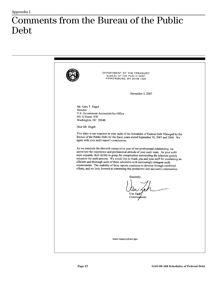## <span id="page-29-0"></span>Comments from the Bureau of the Public  $\text{Debt}$

DEPARTMENT OF THE TREASURY BUREAU OF THE PUBLIC DEBT PARKERSBURG, WV 26106-1328 November 2, 2007 Mr. Gary T. Engel Director U.S. Government Accountability Office 441 G Street, NW Washington, DC 20548 Dear Mr. Engel: This letter is our response to your audit of the Schedules of Federal Debt Managed by the Bureau of the Public Debt for the fiscal years ended September 30, 2007 and 2006. We agree with your audit report's conclusions. As we conclude the eleventh consecutive year of our professional relationship, we appreciate the experience and professional attitude of your audit team. As your audit team expands, their ability to grasp the complexities surrounding the schedule greatly enhances the audit process. We would like to thank you and your staff for conducting an efficient and thorough audit of these schedules with increasingly stringent audit requirements. The usability of these reports continues to develop through combined efforts, and we look forward to continuing this productive and successful relationship. Sincerely, Van Zeck/ Commissioner www.treasurydirect.gov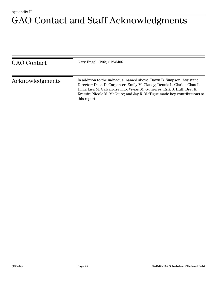### <span id="page-30-0"></span>Appendix II GAO Contact and Staff Acknowledgments

| <b>GAO</b> Contact | Gary Engel, (202) 512-3406                                                                                                                                                                                                                                                                                               |
|--------------------|--------------------------------------------------------------------------------------------------------------------------------------------------------------------------------------------------------------------------------------------------------------------------------------------------------------------------|
| Acknowledgments    | In addition to the individual named above, Dawn B. Simpson, Assistant<br>Director; Dean D. Carpenter; Emily M. Clancy; Dennis L. Clarke; Chau L.<br>Dinh; Lisa M. Galvan-Treviño; Vivian M. Gutierrez; Erik S. Huff; Bret R.<br>Kressin; Nicole M. McGuire; and Jay R. McTigue made key contributions to<br>this report. |